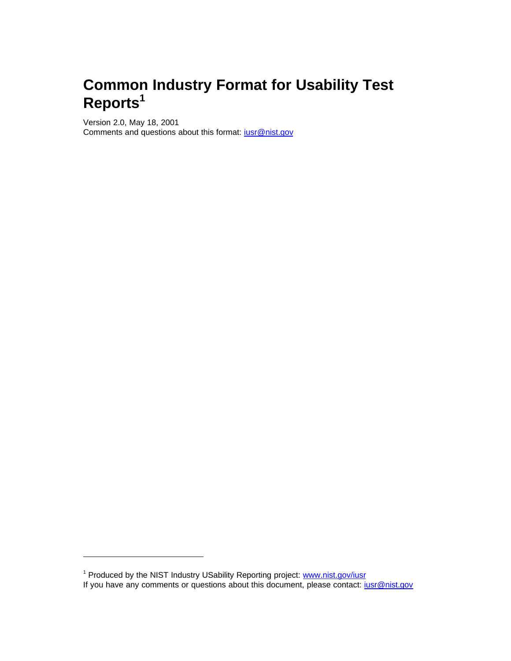# **Common Industry Format for Usability Test Reports<sup>1</sup>**

Version 2.0, May 18, 2001 Comments and questions about this format: iusr@nist.gov

<sup>&</sup>lt;sup>1</sup> Produced by the NIST Industry USability Reporting project: **www.nist.gov/iusr** If you have any comments or questions about this document, please contact: just @nist.gov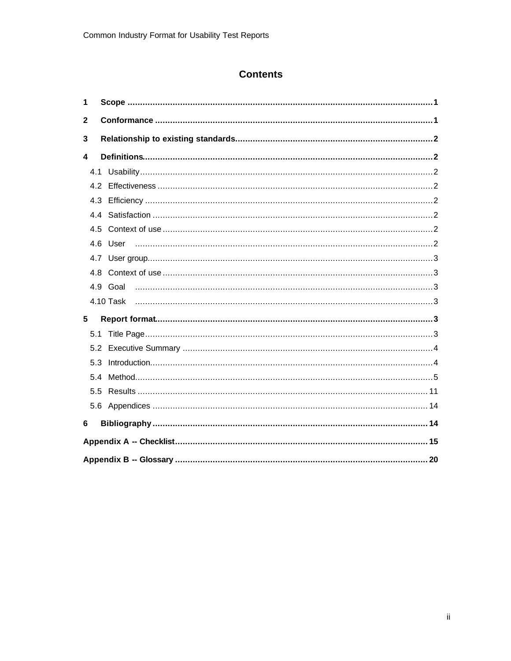# **Contents**

| 1                |     |                 |  |
|------------------|-----|-----------------|--|
| $\mathbf{2}$     |     |                 |  |
| 3                |     |                 |  |
| $\boldsymbol{4}$ |     |                 |  |
|                  |     |                 |  |
|                  |     |                 |  |
|                  |     |                 |  |
|                  |     |                 |  |
|                  |     |                 |  |
|                  |     |                 |  |
|                  |     |                 |  |
|                  |     |                 |  |
|                  |     |                 |  |
|                  |     |                 |  |
| 5                |     |                 |  |
|                  | 5.1 |                 |  |
|                  | 5.2 |                 |  |
| 5.3              |     | Introduction 44 |  |
|                  |     |                 |  |
|                  | 5.5 |                 |  |
|                  |     |                 |  |
| 6                |     |                 |  |
|                  |     |                 |  |
|                  |     |                 |  |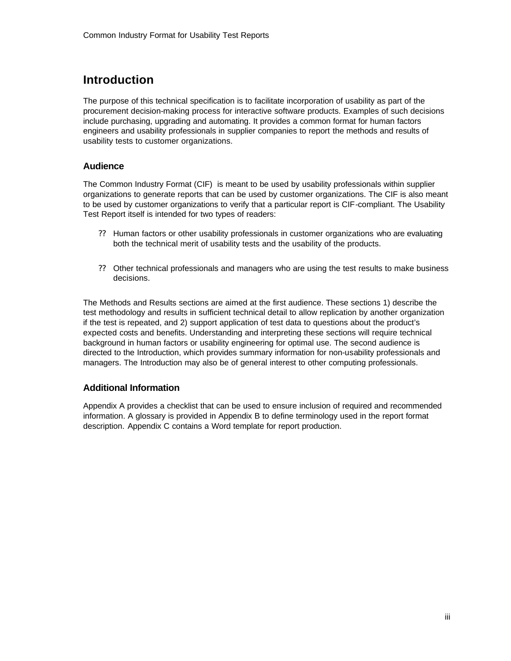# **Introduction**

The purpose of this technical specification is to facilitate incorporation of usability as part of the procurement decision-making process for interactive software products. Examples of such decisions include purchasing, upgrading and automating. It provides a common format for human factors engineers and usability professionals in supplier companies to report the methods and results of usability tests to customer organizations.

## **Audience**

The Common Industry Format (CIF) is meant to be used by usability professionals within supplier organizations to generate reports that can be used by customer organizations. The CIF is also meant to be used by customer organizations to verify that a particular report is CIF-compliant. The Usability Test Report itself is intended for two types of readers:

- ?? Human factors or other usability professionals in customer organizations who are evaluating both the technical merit of usability tests and the usability of the products.
- ?? Other technical professionals and managers who are using the test results to make business decisions.

The Methods and Results sections are aimed at the first audience. These sections 1) describe the test methodology and results in sufficient technical detail to allow replication by another organization if the test is repeated, and 2) support application of test data to questions about the product's expected costs and benefits. Understanding and interpreting these sections will require technical background in human factors or usability engineering for optimal use. The second audience is directed to the Introduction, which provides summary information for non-usability professionals and managers. The Introduction may also be of general interest to other computing professionals.

## **Additional Information**

Appendix A provides a checklist that can be used to ensure inclusion of required and recommended information. A glossary is provided in Appendix B to define terminology used in the report format description. Appendix C contains a Word template for report production.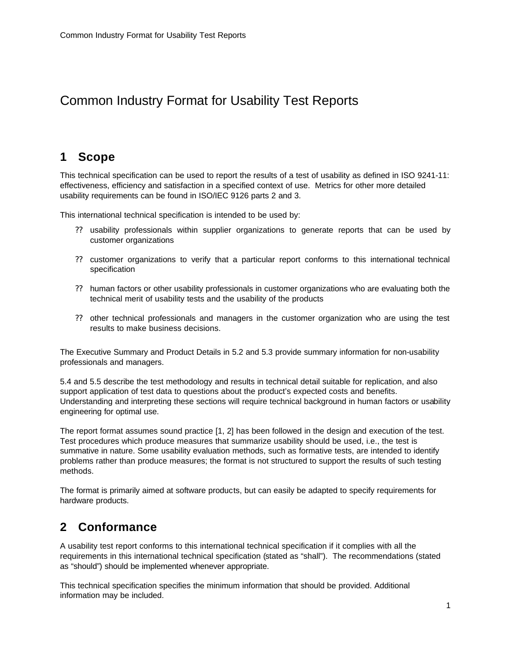# Common Industry Format for Usability Test Reports

## **1 Scope**

This technical specification can be used to report the results of a test of usability as defined in ISO 9241-11: effectiveness, efficiency and satisfaction in a specified context of use. Metrics for other more detailed usability requirements can be found in ISO/IEC 9126 parts 2 and 3.

This international technical specification is intended to be used by:

- ?? usability professionals within supplier organizations to generate reports that can be used by customer organizations
- ?? customer organizations to verify that a particular report conforms to this international technical specification
- ?? human factors or other usability professionals in customer organizations who are evaluating both the technical merit of usability tests and the usability of the products
- ?? other technical professionals and managers in the customer organization who are using the test results to make business decisions.

The Executive Summary and Product Details in 5.2 and 5.3 provide summary information for non-usability professionals and managers.

5.4 and 5.5 describe the test methodology and results in technical detail suitable for replication, and also support application of test data to questions about the product's expected costs and benefits. Understanding and interpreting these sections will require technical background in human factors or usability engineering for optimal use.

The report format assumes sound practice [1, 2] has been followed in the design and execution of the test. Test procedures which produce measures that summarize usability should be used, i.e., the test is summative in nature. Some usability evaluation methods, such as formative tests, are intended to identify problems rather than produce measures; the format is not structured to support the results of such testing methods.

The format is primarily aimed at software products, but can easily be adapted to specify requirements for hardware products.

# **2 Conformance**

A usability test report conforms to this international technical specification if it complies with all the requirements in this international technical specification (stated as "shall"). The recommendations (stated as "should") should be implemented whenever appropriate.

This technical specification specifies the minimum information that should be provided. Additional information may be included.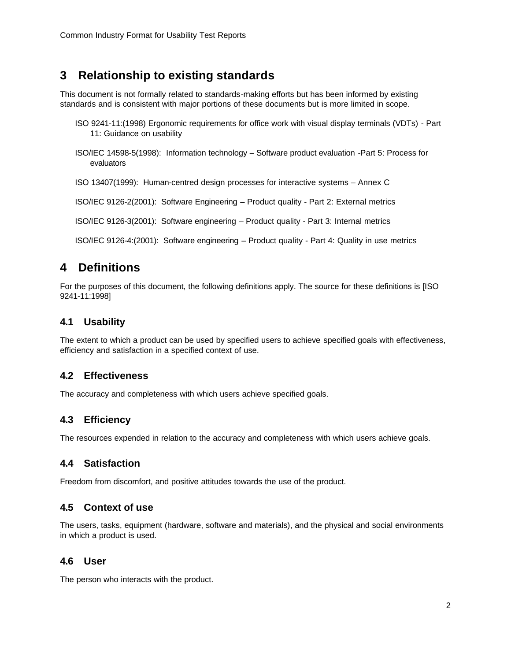# **3 Relationship to existing standards**

This document is not formally related to standards-making efforts but has been informed by existing standards and is consistent with major portions of these documents but is more limited in scope.

- ISO 9241-11:(1998) Ergonomic requirements for office work with visual display terminals (VDTs) Part 11: Guidance on usability
- ISO/IEC 14598-5(1998): Information technology Software product evaluation -Part 5: Process for evaluators

ISO 13407(1999): Human-centred design processes for interactive systems – Annex C

ISO/IEC 9126-2(2001): Software Engineering – Product quality - Part 2: External metrics

ISO/IEC 9126-3(2001): Software engineering – Product quality - Part 3: Internal metrics

ISO/IEC 9126-4:(2001): Software engineering – Product quality - Part 4: Quality in use metrics

# **4 Definitions**

For the purposes of this document, the following definitions apply. The source for these definitions is [ISO 9241-11:1998]

## **4.1 Usability**

The extent to which a product can be used by specified users to achieve specified goals with effectiveness, efficiency and satisfaction in a specified context of use.

## **4.2 Effectiveness**

The accuracy and completeness with which users achieve specified goals.

## **4.3 Efficiency**

The resources expended in relation to the accuracy and completeness with which users achieve goals.

## **4.4 Satisfaction**

Freedom from discomfort, and positive attitudes towards the use of the product.

## **4.5 Context of use**

The users, tasks, equipment (hardware, software and materials), and the physical and social environments in which a product is used.

## **4.6 User**

The person who interacts with the product.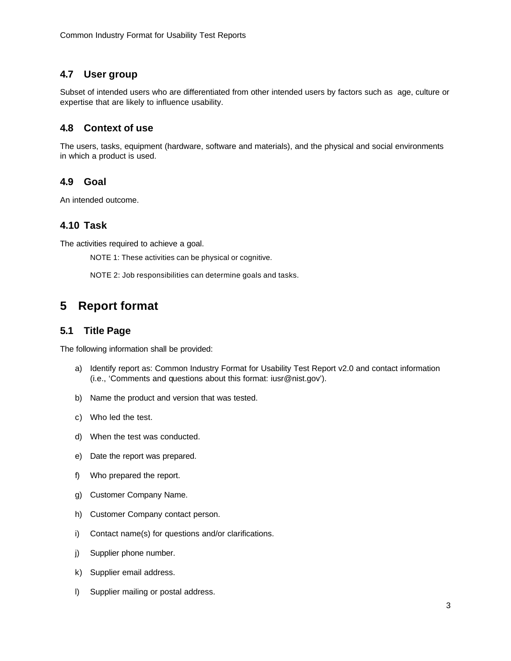## **4.7 User group**

Subset of intended users who are differentiated from other intended users by factors such as age, culture or expertise that are likely to influence usability.

## **4.8 Context of use**

The users, tasks, equipment (hardware, software and materials), and the physical and social environments in which a product is used.

## **4.9 Goal**

An intended outcome.

## **4.10 Task**

The activities required to achieve a goal.

NOTE 1: These activities can be physical or cognitive.

NOTE 2: Job responsibilities can determine goals and tasks.

# **5 Report format**

## **5.1 Title Page**

The following information shall be provided:

- a) Identify report as: Common Industry Format for Usability Test Report v2.0 and contact information (i.e., 'Comments and questions about this format: iusr@nist.gov').
- b) Name the product and version that was tested.
- c) Who led the test.
- d) When the test was conducted.
- e) Date the report was prepared.
- f) Who prepared the report.
- g) Customer Company Name.
- h) Customer Company contact person.
- i) Contact name(s) for questions and/or clarifications.
- j) Supplier phone number.
- k) Supplier email address.
- l) Supplier mailing or postal address.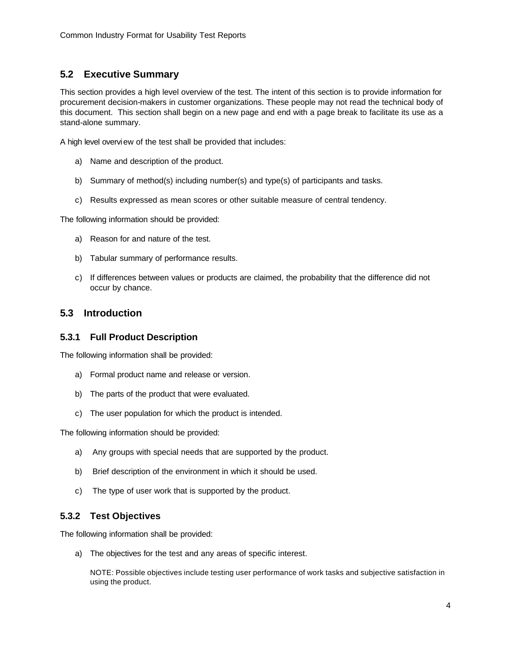## **5.2 Executive Summary**

This section provides a high level overview of the test. The intent of this section is to provide information for procurement decision-makers in customer organizations. These people may not read the technical body of this document. This section shall begin on a new page and end with a page break to facilitate its use as a stand-alone summary.

A high level overview of the test shall be provided that includes:

- a) Name and description of the product.
- b) Summary of method(s) including number(s) and type(s) of participants and tasks.
- c) Results expressed as mean scores or other suitable measure of central tendency.

The following information should be provided:

- a) Reason for and nature of the test.
- b) Tabular summary of performance results.
- c) If differences between values or products are claimed, the probability that the difference did not occur by chance.

## **5.3 Introduction**

#### **5.3.1 Full Product Description**

The following information shall be provided:

- a) Formal product name and release or version.
- b) The parts of the product that were evaluated.
- c) The user population for which the product is intended.

The following information should be provided:

- a) Any groups with special needs that are supported by the product.
- b) Brief description of the environment in which it should be used.
- c) The type of user work that is supported by the product.

## **5.3.2 Test Objectives**

The following information shall be provided:

a) The objectives for the test and any areas of specific interest.

NOTE: Possible objectives include testing user performance of work tasks and subjective satisfaction in using the product.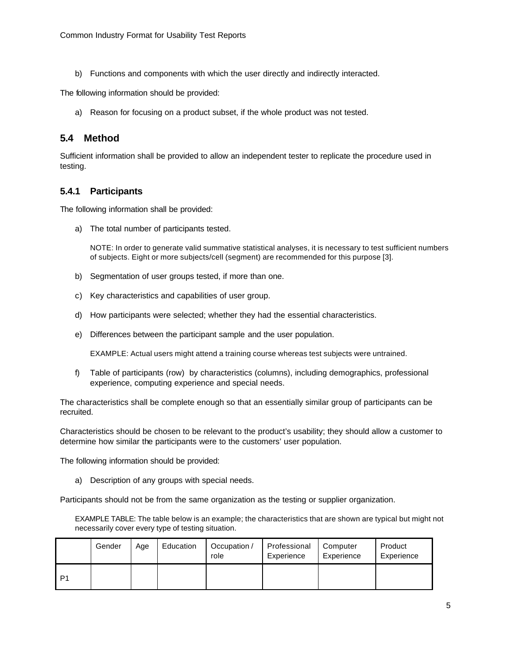b) Functions and components with which the user directly and indirectly interacted.

The following information should be provided:

a) Reason for focusing on a product subset, if the whole product was not tested.

## **5.4 Method**

Sufficient information shall be provided to allow an independent tester to replicate the procedure used in testing.

## **5.4.1 Participants**

The following information shall be provided:

a) The total number of participants tested.

NOTE: In order to generate valid summative statistical analyses, it is necessary to test sufficient numbers of subjects. Eight or more subjects/cell (segment) are recommended for this purpose [3].

- b) Segmentation of user groups tested, if more than one.
- c) Key characteristics and capabilities of user group.
- d) How participants were selected; whether they had the essential characteristics.
- e) Differences between the participant sample and the user population.

EXAMPLE: Actual users might attend a training course whereas test subjects were untrained.

f) Table of participants (row) by characteristics (columns), including demographics, professional experience, computing experience and special needs.

The characteristics shall be complete enough so that an essentially similar group of participants can be recruited.

Characteristics should be chosen to be relevant to the product's usability; they should allow a customer to determine how similar the participants were to the customers' user population.

The following information should be provided:

a) Description of any groups with special needs.

Participants should not be from the same organization as the testing or supplier organization.

EXAMPLE TABLE: The table below is an example; the characteristics that are shown are typical but might not necessarily cover every type of testing situation.

|                | Gender | Age | Education | Occupation /<br>role | Professional<br>Experience | Computer<br>Experience | Product<br>Experience |
|----------------|--------|-----|-----------|----------------------|----------------------------|------------------------|-----------------------|
| D <sub>1</sub> |        |     |           |                      |                            |                        |                       |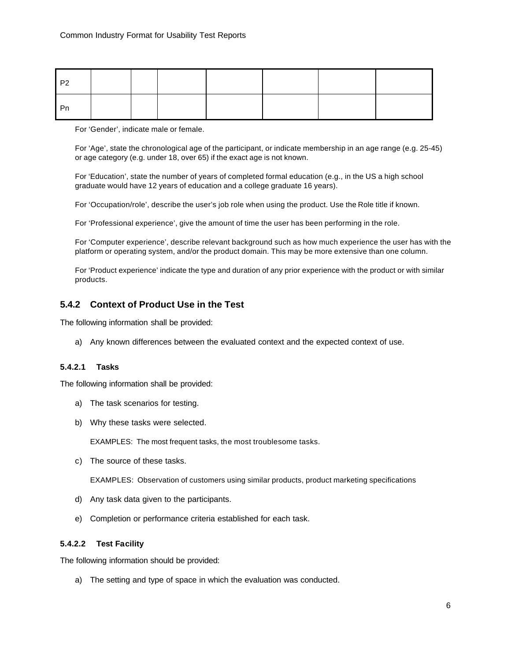| P <sub>2</sub> |  |  |  |  |
|----------------|--|--|--|--|
| - Pn           |  |  |  |  |

For 'Gender', indicate male or female.

For 'Age', state the chronological age of the participant, or indicate membership in an age range (e.g. 25-45) or age category (e.g. under 18, over 65) if the exact age is not known.

For 'Education', state the number of years of completed formal education (e.g., in the US a high school graduate would have 12 years of education and a college graduate 16 years).

For 'Occupation/role', describe the user's job role when using the product. Use the Role title if known.

For 'Professional experience', give the amount of time the user has been performing in the role.

For 'Computer experience', describe relevant background such as how much experience the user has with the platform or operating system, and/or the product domain. This may be more extensive than one column.

For 'Product experience' indicate the type and duration of any prior experience with the product or with similar products.

## **5.4.2 Context of Product Use in the Test**

The following information shall be provided:

a) Any known differences between the evaluated context and the expected context of use.

## **5.4.2.1 Tasks**

The following information shall be provided:

- a) The task scenarios for testing.
- b) Why these tasks were selected.

EXAMPLES: The most frequent tasks, the most troublesome tasks.

c) The source of these tasks.

EXAMPLES: Observation of customers using similar products, product marketing specifications

- d) Any task data given to the participants.
- e) Completion or performance criteria established for each task.

#### **5.4.2.2 Test Facility**

The following information should be provided:

a) The setting and type of space in which the evaluation was conducted.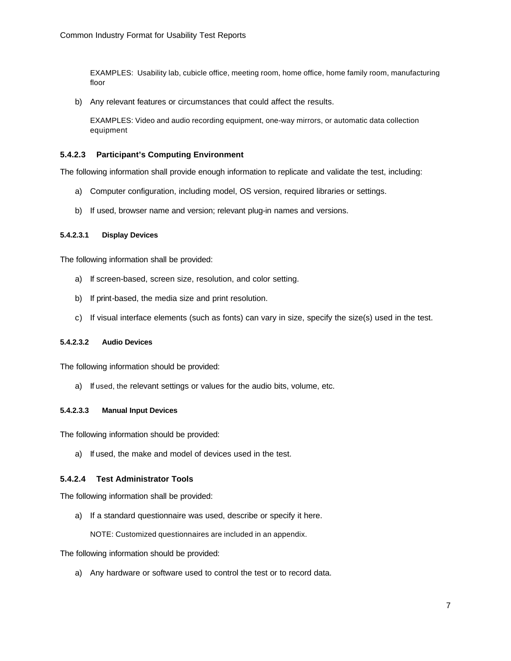EXAMPLES: Usability lab, cubicle office, meeting room, home office, home family room, manufacturing floor

b) Any relevant features or circumstances that could affect the results.

EXAMPLES: Video and audio recording equipment, one-way mirrors, or automatic data collection equipment

#### **5.4.2.3 Participant's Computing Environment**

The following information shall provide enough information to replicate and validate the test, including:

- a) Computer configuration, including model, OS version, required libraries or settings.
- b) If used, browser name and version; relevant plug-in names and versions.

#### **5.4.2.3.1 Display Devices**

The following information shall be provided:

- a) If screen-based, screen size, resolution, and color setting.
- b) If print-based, the media size and print resolution.
- c) If visual interface elements (such as fonts) can vary in size, specify the size(s) used in the test.

#### **5.4.2.3.2 Audio Devices**

The following information should be provided:

a) If used, the relevant settings or values for the audio bits, volume, etc.

#### **5.4.2.3.3 Manual Input Devices**

The following information should be provided:

a) If used, the make and model of devices used in the test.

#### **5.4.2.4 Test Administrator Tools**

The following information shall be provided:

a) If a standard questionnaire was used, describe or specify it here.

NOTE: Customized questionnaires are included in an appendix.

The following information should be provided:

a) Any hardware or software used to control the test or to record data.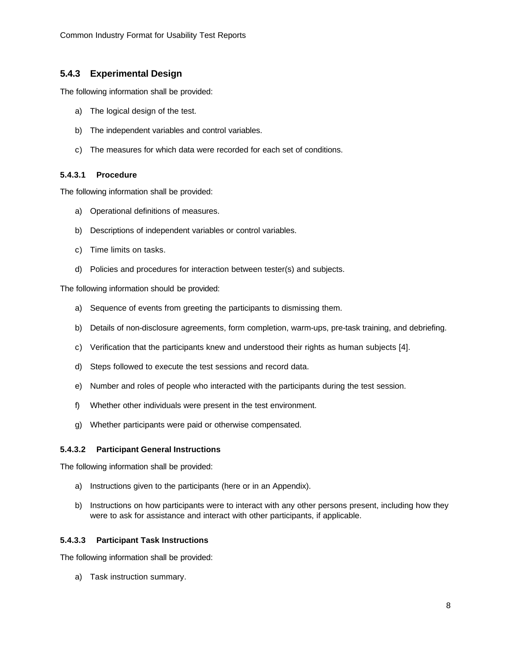## **5.4.3 Experimental Design**

The following information shall be provided:

- a) The logical design of the test.
- b) The independent variables and control variables.
- c) The measures for which data were recorded for each set of conditions.

## **5.4.3.1 Procedure**

The following information shall be provided:

- a) Operational definitions of measures.
- b) Descriptions of independent variables or control variables.
- c) Time limits on tasks.
- d) Policies and procedures for interaction between tester(s) and subjects.

The following information should be provided:

- a) Sequence of events from greeting the participants to dismissing them.
- b) Details of non-disclosure agreements, form completion, warm-ups, pre-task training, and debriefing.
- c) Verification that the participants knew and understood their rights as human subjects [4].
- d) Steps followed to execute the test sessions and record data.
- e) Number and roles of people who interacted with the participants during the test session.
- f) Whether other individuals were present in the test environment.
- g) Whether participants were paid or otherwise compensated.

#### **5.4.3.2 Participant General Instructions**

The following information shall be provided:

- a) Instructions given to the participants (here or in an Appendix).
- b) Instructions on how participants were to interact with any other persons present, including how they were to ask for assistance and interact with other participants, if applicable.

#### **5.4.3.3 Participant Task Instructions**

The following information shall be provided:

a) Task instruction summary.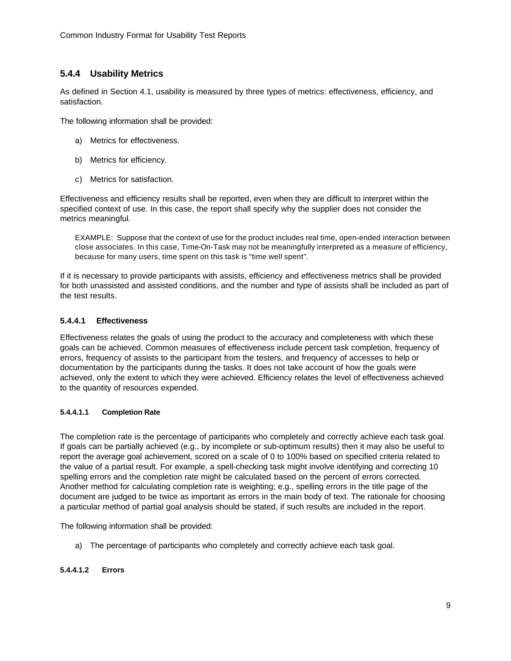## **5.4.4 Usability Metrics**

As defined in Section 4.1, usability is measured by three types of metrics: effectiveness, efficiency, and satisfaction.

The following information shall be provided:

- a) Metrics for effectiveness.
- b) Metrics for efficiency.
- c) Metrics for satisfaction.

Effectiveness and efficiency results shall be reported, even when they are difficult to interpret within the specified context of use. In this case, the report shall specify why the supplier does not consider the metrics meaningful.

EXAMPLE: Suppose that the context of use for the product includes real time, open-ended interaction between close associates. In this case, Time-On-Task may not be meaningfully interpreted as a measure of efficiency, because for many users, time spent on this task is "time well spent".

If it is necessary to provide participants with assists, efficiency and effectiveness metrics shall be provided for both unassisted and assisted conditions, and the number and type of assists shall be included as part of the test results.

## **5.4.4.1 Effectiveness**

Effectiveness relates the goals of using the product to the accuracy and completeness with which these goals can be achieved. Common measures of effectiveness include percent task completion, frequency of errors, frequency of assists to the participant from the testers, and frequency of accesses to help or documentation by the participants during the tasks. It does not take account of how the goals were achieved, only the extent to which they were achieved. Efficiency relates the level of effectiveness achieved to the quantity of resources expended.

#### **5.4.4.1.1 Completion Rate**

The completion rate is the percentage of participants who completely and correctly achieve each task goal. If goals can be partially achieved (e.g., by incomplete or sub-optimum results) then it may also be useful to report the average goal achievement, scored on a scale of 0 to 100% based on specified criteria related to the value of a partial result. For example, a spell-checking task might involve identifying and correcting 10 spelling errors and the completion rate might be calculated based on the percent of errors corrected. Another method for calculating completion rate is weighting; e.g., spelling errors in the title page of the document are judged to be twice as important as errors in the main body of text. The rationale for choosing a particular method of partial goal analysis should be stated, if such results are included in the report.

The following information shall be provided:

a) The percentage of participants who completely and correctly achieve each task goal.

#### **5.4.4.1.2 Errors**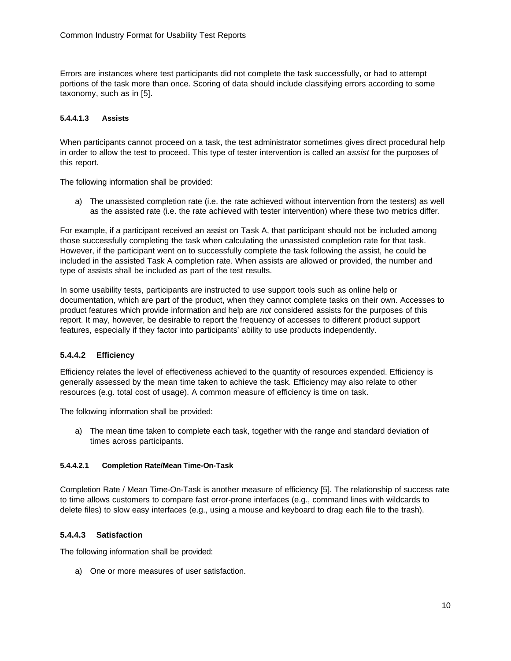Errors are instances where test participants did not complete the task successfully, or had to attempt portions of the task more than once. Scoring of data should include classifying errors according to some taxonomy, such as in [5].

#### **5.4.4.1.3 Assists**

When participants cannot proceed on a task, the test administrator sometimes gives direct procedural help in order to allow the test to proceed. This type of tester intervention is called an *assist* for the purposes of this report.

The following information shall be provided:

a) The unassisted completion rate (i.e. the rate achieved without intervention from the testers) as well as the assisted rate (i.e. the rate achieved with tester intervention) where these two metrics differ.

For example, if a participant received an assist on Task A, that participant should not be included among those successfully completing the task when calculating the unassisted completion rate for that task. However, if the participant went on to successfully complete the task following the assist, he could be included in the assisted Task A completion rate. When assists are allowed or provided, the number and type of assists shall be included as part of the test results.

In some usability tests, participants are instructed to use support tools such as online help or documentation, which are part of the product, when they cannot complete tasks on their own. Accesses to product features which provide information and help are *not* considered assists for the purposes of this report. It may, however, be desirable to report the frequency of accesses to different product support features, especially if they factor into participants' ability to use products independently.

#### **5.4.4.2 Efficiency**

Efficiency relates the level of effectiveness achieved to the quantity of resources expended. Efficiency is generally assessed by the mean time taken to achieve the task. Efficiency may also relate to other resources (e.g. total cost of usage). A common measure of efficiency is time on task.

The following information shall be provided:

a) The mean time taken to complete each task, together with the range and standard deviation of times across participants.

#### **5.4.4.2.1 Completion Rate/Mean Time-On-Task**

Completion Rate / Mean Time-On-Task is another measure of efficiency [5]. The relationship of success rate to time allows customers to compare fast error-prone interfaces (e.g., command lines with wildcards to delete files) to slow easy interfaces (e.g., using a mouse and keyboard to drag each file to the trash).

#### **5.4.4.3 Satisfaction**

The following information shall be provided:

a) One or more measures of user satisfaction.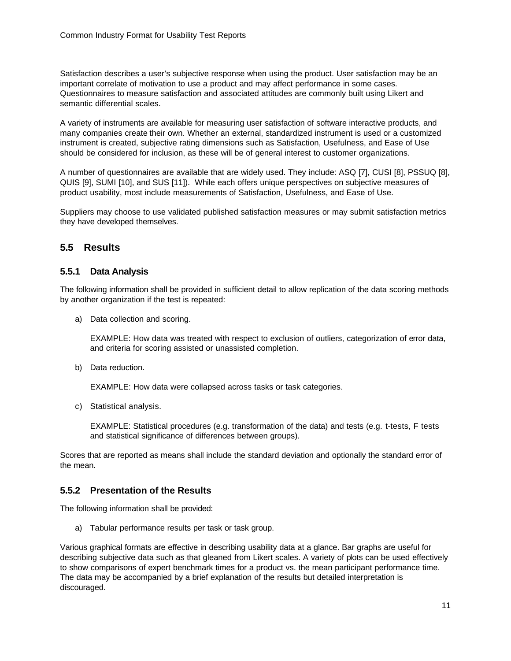Satisfaction describes a user's subjective response when using the product. User satisfaction may be an important correlate of motivation to use a product and may affect performance in some cases. Questionnaires to measure satisfaction and associated attitudes are commonly built using Likert and semantic differential scales.

A variety of instruments are available for measuring user satisfaction of software interactive products, and many companies create their own. Whether an external, standardized instrument is used or a customized instrument is created, subjective rating dimensions such as Satisfaction, Usefulness, and Ease of Use should be considered for inclusion, as these will be of general interest to customer organizations.

A number of questionnaires are available that are widely used. They include: ASQ [7], CUSI [8], PSSUQ [8], QUIS [9], SUMI [10], and SUS [11]). While each offers unique perspectives on subjective measures of product usability, most include measurements of Satisfaction, Usefulness, and Ease of Use.

Suppliers may choose to use validated published satisfaction measures or may submit satisfaction metrics they have developed themselves.

## **5.5 Results**

## **5.5.1 Data Analysis**

The following information shall be provided in sufficient detail to allow replication of the data scoring methods by another organization if the test is repeated:

a) Data collection and scoring.

EXAMPLE: How data was treated with respect to exclusion of outliers, categorization of error data, and criteria for scoring assisted or unassisted completion.

b) Data reduction.

EXAMPLE: How data were collapsed across tasks or task categories.

c) Statistical analysis.

EXAMPLE: Statistical procedures (e.g. transformation of the data) and tests (e.g. t-tests, F tests and statistical significance of differences between groups).

Scores that are reported as means shall include the standard deviation and optionally the standard error of the mean.

## **5.5.2 Presentation of the Results**

The following information shall be provided:

a) Tabular performance results per task or task group.

Various graphical formats are effective in describing usability data at a glance. Bar graphs are useful for describing subjective data such as that gleaned from Likert scales. A variety of plots can be used effectively to show comparisons of expert benchmark times for a product vs. the mean participant performance time. The data may be accompanied by a brief explanation of the results but detailed interpretation is discouraged.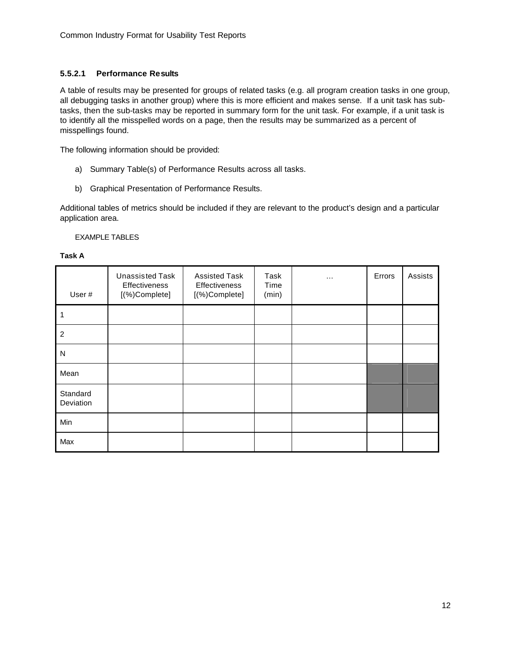## **5.5.2.1 Performance Results**

A table of results may be presented for groups of related tasks (e.g. all program creation tasks in one group, all debugging tasks in another group) where this is more efficient and makes sense. If a unit task has subtasks, then the sub-tasks may be reported in summary form for the unit task. For example, if a unit task is to identify all the misspelled words on a page, then the results may be summarized as a percent of misspellings found.

The following information should be provided:

- a) Summary Table(s) of Performance Results across all tasks.
- b) Graphical Presentation of Performance Results.

Additional tables of metrics should be included if they are relevant to the product's design and a particular application area.

#### EXAMPLE TABLES

#### **Task A**

| User#                 | <b>Unassisted Task</b><br>Effectiveness<br>[(%)Complete] | <b>Assisted Task</b><br><b>Effectiveness</b><br>[(%)Complete] | Task<br>Time<br>(min) | $\cdots$ | Errors | Assists |
|-----------------------|----------------------------------------------------------|---------------------------------------------------------------|-----------------------|----------|--------|---------|
|                       |                                                          |                                                               |                       |          |        |         |
| $\overline{2}$        |                                                          |                                                               |                       |          |        |         |
| N                     |                                                          |                                                               |                       |          |        |         |
| Mean                  |                                                          |                                                               |                       |          |        |         |
| Standard<br>Deviation |                                                          |                                                               |                       |          |        |         |
| Min                   |                                                          |                                                               |                       |          |        |         |
| Max                   |                                                          |                                                               |                       |          |        |         |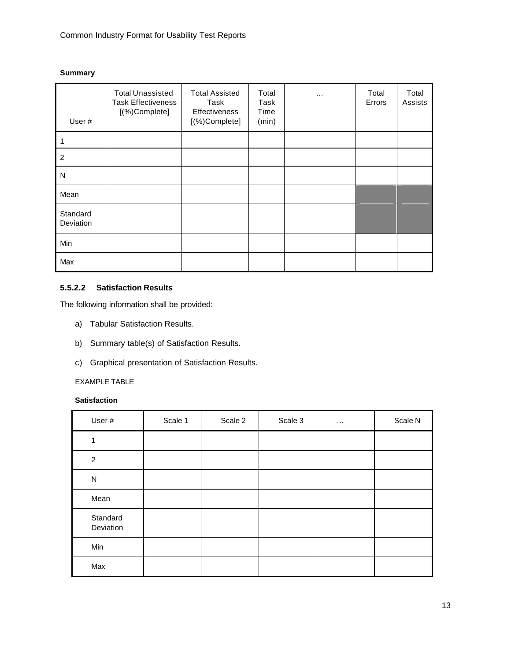#### **Summary**

| User#                 | <b>Total Unassisted</b><br><b>Task Effectiveness</b><br>[(%)Complete] | <b>Total Assisted</b><br>Task<br>Effectiveness<br>[(%)Complete] | Total<br>Task<br>Time<br>(min) | $\cdots$ | Total<br>Errors | Total<br>Assists |
|-----------------------|-----------------------------------------------------------------------|-----------------------------------------------------------------|--------------------------------|----------|-----------------|------------------|
|                       |                                                                       |                                                                 |                                |          |                 |                  |
| $\overline{c}$        |                                                                       |                                                                 |                                |          |                 |                  |
| N                     |                                                                       |                                                                 |                                |          |                 |                  |
| Mean                  |                                                                       |                                                                 |                                |          |                 |                  |
| Standard<br>Deviation |                                                                       |                                                                 |                                |          |                 |                  |
| Min                   |                                                                       |                                                                 |                                |          |                 |                  |
| Max                   |                                                                       |                                                                 |                                |          |                 |                  |

## **5.5.2.2 Satisfaction Results**

The following information shall be provided:

- a) Tabular Satisfaction Results.
- b) Summary table(s) of Satisfaction Results.
- c) Graphical presentation of Satisfaction Results.

## EXAMPLE TABLE

## **Satisfaction**

| User#                 | Scale 1 | Scale 2 | Scale 3 | $\cdots$ | Scale N |
|-----------------------|---------|---------|---------|----------|---------|
| 1                     |         |         |         |          |         |
| 2                     |         |         |         |          |         |
| ${\sf N}$             |         |         |         |          |         |
| Mean                  |         |         |         |          |         |
| Standard<br>Deviation |         |         |         |          |         |
| Min                   |         |         |         |          |         |
| Max                   |         |         |         |          |         |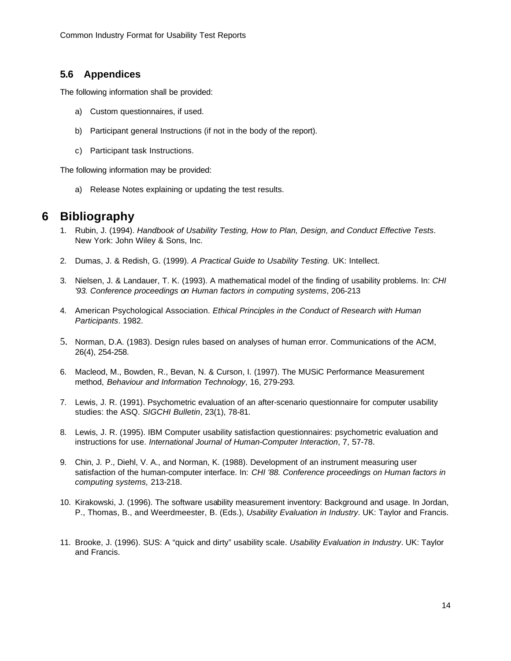## **5.6 Appendices**

The following information shall be provided:

- a) Custom questionnaires, if used.
- b) Participant general Instructions (if not in the body of the report).
- c) Participant task Instructions.

The following information may be provided:

a) Release Notes explaining or updating the test results.

# **6 Bibliography**

- 1. Rubin, J. (1994). *Handbook of Usability Testing, How to Plan, Design, and Conduct Effective Tests*. New York: John Wiley & Sons, Inc.
- 2. Dumas, J. & Redish, G. (1999). *A Practical Guide to Usability Testing.* UK: Intellect.
- 3. Nielsen, J. & Landauer, T. K. (1993). A mathematical model of the finding of usability problems. In: *CHI '93. Conference proceedings on Human factors in computing systems*, 206-213
- 4. American Psychological Association. *Ethical Principles in the Conduct of Research with Human Participants*. 1982.
- 5. Norman, D.A. (1983). Design rules based on analyses of human error. Communications of the ACM, 26(4), 254-258.
- 6. Macleod, M., Bowden, R., Bevan, N. & Curson, I. (1997). The MUSiC Performance Measurement method, *Behaviour and Information Technology*, 16, 279-293.
- 7. Lewis, J. R. (1991). Psychometric evaluation of an after-scenario questionnaire for computer usability studies: the ASQ. *SIGCHI Bulletin*, 23(1), 78-81.
- 8. Lewis, J. R. (1995). IBM Computer usability satisfaction questionnaires: psychometric evaluation and instructions for use. *International Journal of Human-Computer Interaction*, 7, 57-78.
- 9. Chin, J. P., Diehl, V. A., and Norman, K. (1988). Development of an instrument measuring user satisfaction of the human-computer interface. In: *CHI '88. Conference proceedings on Human factors in computing systems,* 213-218.
- 10. Kirakowski, J. (1996). The software usability measurement inventory: Background and usage. In Jordan, P., Thomas, B., and Weerdmeester, B. (Eds.), *Usability Evaluation in Industry*. UK: Taylor and Francis.
- 11. Brooke, J. (1996). SUS: A "quick and dirty" usability scale. *Usability Evaluation in Industry*. UK: Taylor and Francis.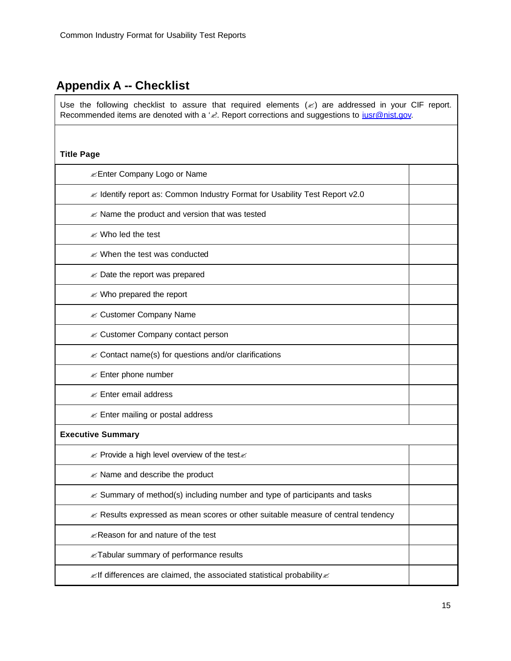# **Appendix A -- Checklist**

Use the following checklist to assure that required elements  $(\mathscr{L})$  are addressed in your CIF report. Recommended items are denoted with a 'x'. Report corrections and suggestions to *iusr@nist.gov.* 

| <b>Title Page</b>                                                                            |  |
|----------------------------------------------------------------------------------------------|--|
| <b><i>Enter Company Logo or Name</i></b>                                                     |  |
| ≤ Identify report as: Common Industry Format for Usability Test Report v2.0                  |  |
| $\mathcal{L}$ Name the product and version that was tested                                   |  |
| <b>i</b> Who led the test                                                                    |  |
| $\mathscr{\mathscr{A}}$ When the test was conducted                                          |  |
| $\mathcal{L}$ Date the report was prepared                                                   |  |
| $\mathcal{L}$ Who prepared the report                                                        |  |
| <b>EX Customer Company Name</b>                                                              |  |
| iim Customer Company contact person                                                          |  |
| $\mathscr{A}$ Contact name(s) for questions and/or clarifications                            |  |
| $\mathcal{L}$ Enter phone number                                                             |  |
| $\mathscr{\mathscr{A}}$ Enter email address                                                  |  |
| $\mathscr{A}$ Enter mailing or postal address                                                |  |
| <b>Executive Summary</b>                                                                     |  |
| $\mathbb Z$ Provide a high level overview of the test $\mathbb Z$                            |  |
| $\mathscr{\mathscr{A}}$ Name and describe the product                                        |  |
| $\mathcal{L}$ Summary of method(s) including number and type of participants and tasks       |  |
| $\mathcal{L}$ Results expressed as mean scores or other suitable measure of central tendency |  |
| <b>EXECUTE:</b> Reason for and nature of the test                                            |  |
| x Tabular summary of performance results                                                     |  |
| $\mathbb Z$ If differences are claimed, the associated statistical probability $\mathbb Z$   |  |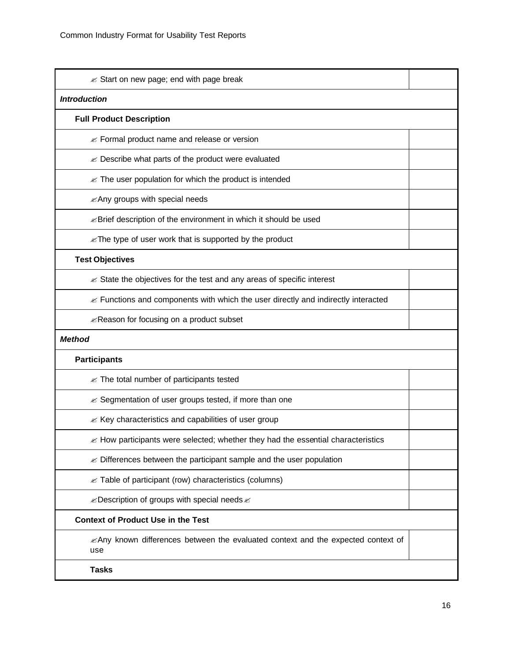| ≤ Start on new page; end with page break                                                      |  |  |  |  |
|-----------------------------------------------------------------------------------------------|--|--|--|--|
| <b>Introduction</b>                                                                           |  |  |  |  |
| <b>Full Product Description</b>                                                               |  |  |  |  |
| $\mathcal{L}$ Formal product name and release or version                                      |  |  |  |  |
| $\mathcal{L}$ Describe what parts of the product were evaluated                               |  |  |  |  |
| $\mathbb Z$ The user population for which the product is intended                             |  |  |  |  |
| <b>EXAny groups with special needs</b>                                                        |  |  |  |  |
| <i><u></u></i> ≤Brief description of the environment in which it should be used               |  |  |  |  |
| $\mathcal{L}$ The type of user work that is supported by the product                          |  |  |  |  |
| <b>Test Objectives</b>                                                                        |  |  |  |  |
| $\mathscr{A}$ State the objectives for the test and any areas of specific interest            |  |  |  |  |
| $\mathcal{L}$ Functions and components with which the user directly and indirectly interacted |  |  |  |  |
| <i><u></u></i> Reason for focusing on a product subset                                        |  |  |  |  |
| <b>Method</b>                                                                                 |  |  |  |  |
| <b>Participants</b>                                                                           |  |  |  |  |
| $\mathscr{A}$ The total number of participants tested                                         |  |  |  |  |
| im Segmentation of user groups tested, if more than one                                       |  |  |  |  |
| $\mathcal{L}$ Key characteristics and capabilities of user group                              |  |  |  |  |
| $\mathcal{L}$ How participants were selected; whether they had the essential characteristics  |  |  |  |  |
| $\mathcal{L}$ Differences between the participant sample and the user population              |  |  |  |  |
| $\mathscr{A}$ Table of participant (row) characteristics (columns)                            |  |  |  |  |
| $\mathcal{L}$ Description of groups with special needs $\mathcal{L}$                          |  |  |  |  |
| <b>Context of Product Use in the Test</b>                                                     |  |  |  |  |
| ≤Any known differences between the evaluated context and the expected context of<br>use       |  |  |  |  |
| <b>Tasks</b>                                                                                  |  |  |  |  |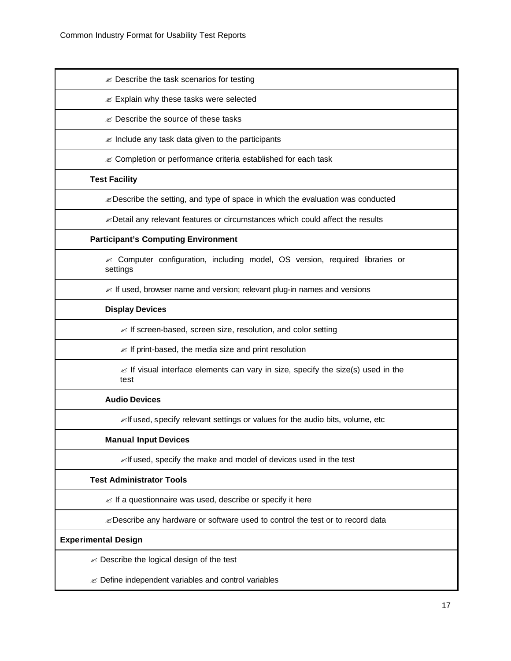| $\mathscr{A}$ Describe the task scenarios for testing                                                |  |
|------------------------------------------------------------------------------------------------------|--|
| $\mathscr{A}$ Explain why these tasks were selected                                                  |  |
| $\mathscr{\mathscr{E}}$ Describe the source of these tasks                                           |  |
| $\mathscr{A}$ Include any task data given to the participants                                        |  |
| iim Completion or performance criteria established for each task                                     |  |
| <b>Test Facility</b>                                                                                 |  |
| $\mathbb Z$ Describe the setting, and type of space in which the evaluation was conducted            |  |
| <i>i</i> Detail any relevant features or circumstances which could affect the results                |  |
| <b>Participant's Computing Environment</b>                                                           |  |
| $\approx$ Computer configuration, including model, OS version, required libraries or<br>settings     |  |
| $\mathcal{L}$ If used, browser name and version; relevant plug-in names and versions                 |  |
| <b>Display Devices</b>                                                                               |  |
| $\mathbb Z$ If screen-based, screen size, resolution, and color setting                              |  |
| $\mathcal{L}$ If print-based, the media size and print resolution                                    |  |
| $\mathscr{A}$ If visual interface elements can vary in size, specify the size(s) used in the<br>test |  |
| <b>Audio Devices</b>                                                                                 |  |
| ≤ If used, specify relevant settings or values for the audio bits, volume, etc                       |  |
| <b>Manual Input Devices</b>                                                                          |  |
| $\mathbb Z$ if used, specify the make and model of devices used in the test                          |  |
| <b>Test Administrator Tools</b>                                                                      |  |
| $\mathbb Z$ If a questionnaire was used, describe or specify it here                                 |  |
| ≤ Describe any hardware or software used to control the test or to record data                       |  |
| <b>Experimental Design</b>                                                                           |  |
| $\mathscr{\mathscr{A}}$ Describe the logical design of the test                                      |  |
| $\mathcal{L}$ Define independent variables and control variables                                     |  |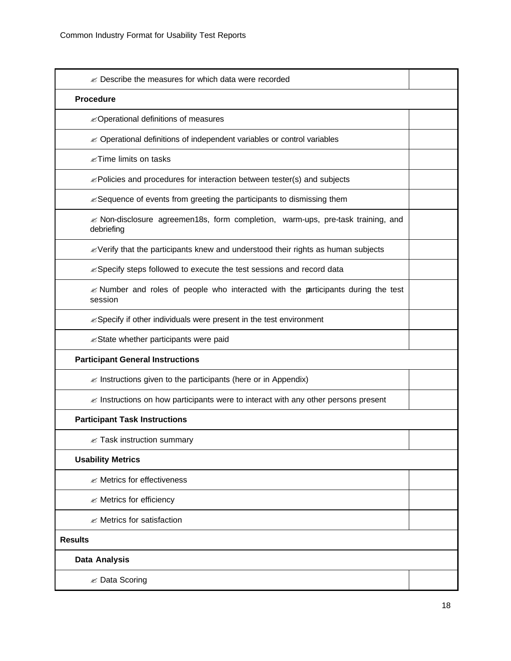| $\mathbb Z$ Describe the measures for which data were recorded                                                      |  |
|---------------------------------------------------------------------------------------------------------------------|--|
| <b>Procedure</b>                                                                                                    |  |
| <b><i>E</i></b> Operational definitions of measures                                                                 |  |
| $\mathcal{L}$ Operational definitions of independent variables or control variables                                 |  |
| $\mathscr{\mathscr{E}}$ Time limits on tasks                                                                        |  |
| $\mathbb Z$ Policies and procedures for interaction between tester(s) and subjects                                  |  |
| $\mathbb Z$ Sequence of events from greeting the participants to dismissing them                                    |  |
| $\mathcal{\mathcal{L}}$ Non-disclosure agreemen18s, form completion, warm-ups, pre-task training, and<br>debriefing |  |
| $\mathcal Z$ Verify that the participants knew and understood their rights as human subjects                        |  |
| ≤ Specify steps followed to execute the test sessions and record data                                               |  |
| $\mathcal{\mathcal{L}}$ Number and roles of people who interacted with the participants during the test<br>session  |  |
| $\mathcal{L}$ Specify if other individuals were present in the test environment                                     |  |
| <i>E</i> State whether participants were paid                                                                       |  |
| <b>Participant General Instructions</b>                                                                             |  |
| $\mathcal{L}$ Instructions given to the participants (here or in Appendix)                                          |  |
| $\mathcal{\mathcal{L}}$ Instructions on how participants were to interact with any other persons present            |  |
| <b>Participant Task Instructions</b>                                                                                |  |
| $\mathbb Z$ Task instruction summary                                                                                |  |
| <b>Usability Metrics</b>                                                                                            |  |
| <b>Ø Metrics for effectiveness</b>                                                                                  |  |
| <b>EX</b> Metrics for efficiency                                                                                    |  |
| $\mathscr{A}$ Metrics for satisfaction                                                                              |  |
| <b>Results</b>                                                                                                      |  |
| <b>Data Analysis</b>                                                                                                |  |
| <b><i>i</i></b> Data Scoring                                                                                        |  |
|                                                                                                                     |  |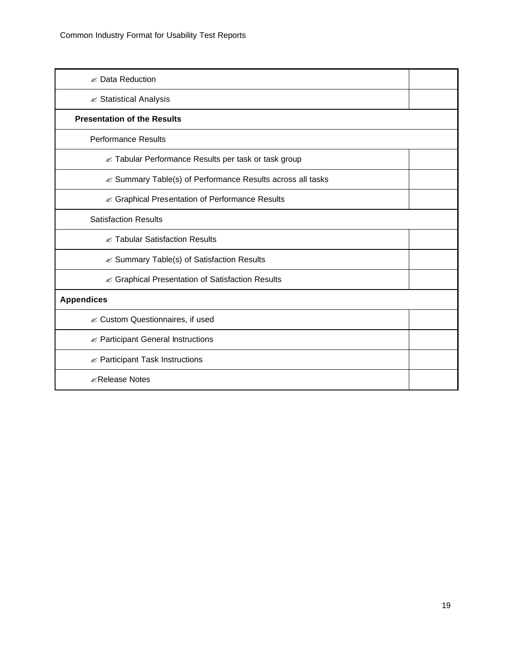| <b>≤ Data Reduction</b>                                           |  |  |  |  |
|-------------------------------------------------------------------|--|--|--|--|
| <b><i>i</i></b> Statistical Analysis                              |  |  |  |  |
| <b>Presentation of the Results</b>                                |  |  |  |  |
| <b>Performance Results</b>                                        |  |  |  |  |
| <b>■ Tabular Performance Results per task or task group</b>       |  |  |  |  |
| <b>■ Summary Table(s) of Performance Results across all tasks</b> |  |  |  |  |
| <b>i</b> Graphical Presentation of Performance Results            |  |  |  |  |
| <b>Satisfaction Results</b>                                       |  |  |  |  |
| <b>EX Tabular Satisfaction Results</b>                            |  |  |  |  |
| $\mathscr{A}$ Summary Table(s) of Satisfaction Results            |  |  |  |  |
| <b>■ Graphical Presentation of Satisfaction Results</b>           |  |  |  |  |
| <b>Appendices</b>                                                 |  |  |  |  |
| <b>EX Custom Questionnaires, if used</b>                          |  |  |  |  |
| $\mathscr{A}$ Participant General Instructions                    |  |  |  |  |
| $\mathscr{A}$ Participant Task Instructions                       |  |  |  |  |
| <b><i></i></b> Release Notes                                      |  |  |  |  |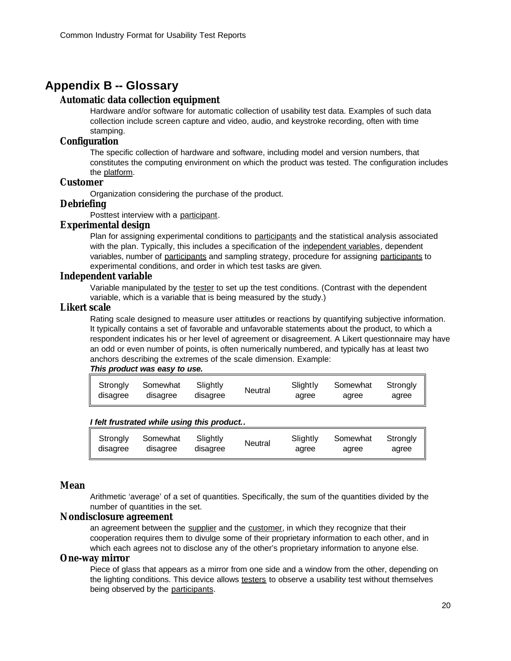## **Appendix B -- Glossary**

## **Automatic data collection equipment**

Hardware and/or software for automatic collection of usability test data. Examples of such data collection include screen capture and video, audio, and keystroke recording, often with time stamping.

## **Configuration**

The specific collection of hardware and software, including model and version numbers, that constitutes the computing environment on which the product was tested. The configuration includes the platform.

## **Customer**

Organization considering the purchase of the product.

## **Debriefing**

Posttest interview with a participant.

## **Experimental design**

Plan for assigning experimental conditions to participants and the statistical analysis associated with the plan. Typically, this includes a specification of the independent variables, dependent variables, number of participants and sampling strategy, procedure for assigning participants to experimental conditions, and order in which test tasks are given.

## **Independent variable**

Variable manipulated by the tester to set up the test conditions. (Contrast with the dependent variable, which is a variable that is being measured by the study.)

## **Likert scale**

Rating scale designed to measure user attitudes or reactions by quantifying subjective information. It typically contains a set of favorable and unfavorable statements about the product, to which a respondent indicates his or her level of agreement or disagreement. A Likert questionnaire may have an odd or even number of points, is often numerically numbered, and typically has at least two anchors describing the extremes of the scale dimension. Example:

#### *This product was easy to use.*

| Slightly<br>Strongly<br>Somewhat<br>disagree<br>disagree<br>disagree | Slightly<br>Neutral<br>agree | Somewhat<br>agree | Stronaly<br>agree |
|----------------------------------------------------------------------|------------------------------|-------------------|-------------------|
|----------------------------------------------------------------------|------------------------------|-------------------|-------------------|

## *I felt frustrated while using this product..*

| Strongly             | Somewhat | Slightly | Neutral | Slightly | Somewhat | Stronalv |
|----------------------|----------|----------|---------|----------|----------|----------|
| $\parallel$ disagree | disagree | disagree |         | agree    | adree    | agree    |

#### **Mean**

Arithmetic 'average' of a set of quantities. Specifically, the sum of the quantities divided by the number of quantities in the set.

## **Nondisclosure agreement**

an agreement between the supplier and the customer, in which they recognize that their cooperation requires them to divulge some of their proprietary information to each other, and in which each agrees not to disclose any of the other's proprietary information to anyone else.

#### **One-way mirror**

Piece of glass that appears as a mirror from one side and a window from the other, depending on the lighting conditions. This device allows testers to observe a usability test without themselves being observed by the participants.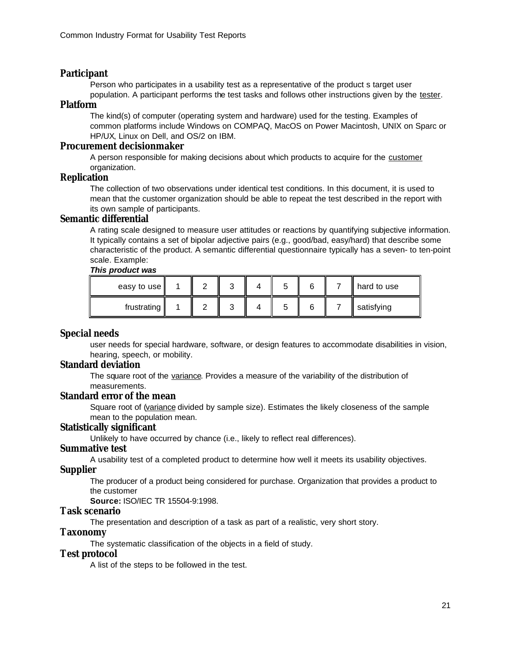## **Participant**

Person who participates in a usability test as a representative of the product s target user

population. A participant performs the test tasks and follows other instructions given by the tester. **Platform**

The kind(s) of computer (operating system and hardware) used for the testing. Examples of common platforms include Windows on COMPAQ, MacOS on Power Macintosh, UNIX on Sparc or HP/UX, Linux on Dell, and OS/2 on IBM.

#### **Procurement decisionmaker**

A person responsible for making decisions about which products to acquire for the customer organization.

#### **Replication**

The collection of two observations under identical test conditions. In this document, it is used to mean that the customer organization should be able to repeat the test described in the report with its own sample of participants.

## **Semantic differential**

A rating scale designed to measure user attitudes or reactions by quantifying subjective information. It typically contains a set of bipolar adjective pairs (e.g., good/bad, easy/hard) that describe some characteristic of the product. A semantic differential questionnaire typically has a seven- to ten-point scale. Example:

#### *This product was*

| easy to use             |  | ັ | ີ      | 6 | hard to use |
|-------------------------|--|---|--------|---|-------------|
| frustrating $\parallel$ |  | ◠ | ∽<br>ີ | ี | satisfying  |

## **Special needs**

user needs for special hardware, software, or design features to accommodate disabilities in vision, hearing, speech, or mobility.

## **Standard deviation**

The square root of the variance. Provides a measure of the variability of the distribution of measurements.

## **Standard error of the mean**

Square root of (variance divided by sample size). Estimates the likely closeness of the sample mean to the population mean.

#### **Statistically significant**

Unlikely to have occurred by chance (i.e., likely to reflect real differences).

#### **Summative test**

A usability test of a completed product to determine how well it meets its usability objectives.

#### **Supplier**

The producer of a product being considered for purchase. Organization that provides a product to the customer

**Source:** ISO/IEC TR 15504-9:1998.

## **Task scenario**

The presentation and description of a task as part of a realistic, very short story.

## **Taxonomy**

The systematic classification of the objects in a field of study.

## **Test protocol**

A list of the steps to be followed in the test.